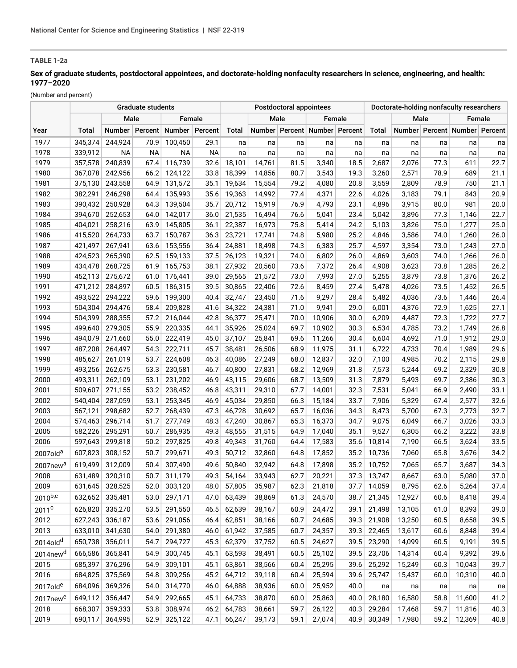# **TABLE 1-2a**

# **Sex of graduate students, postdoctoral appointees, and doctorate-holding nonfaculty researchers in science, engineering, and health: 1977–2020**

(Number and percent)

|                      |         |           | <b>Postdoctoral appointees</b> |                  |           |        |        |      | Doctorate-holding nonfaculty researchers |      |        |        |      |                                     |      |
|----------------------|---------|-----------|--------------------------------|------------------|-----------|--------|--------|------|------------------------------------------|------|--------|--------|------|-------------------------------------|------|
|                      | Male    |           |                                | Female           |           |        | Male   |      | Female                                   |      |        | Male   |      | Female                              |      |
| Year                 | Total   | Number    | Percent                        | Number   Percent |           | Total  |        |      | Number Percent Number Percent            |      | Total  |        |      | Number   Percent   Number   Percent |      |
| 1977                 | 345,374 | 244,924   | 70.9                           | 100,450          | 29.1      | na     | na     | na   | na                                       | na   | na     | na     | na   | na                                  | na   |
| 1978                 | 339,912 | <b>NA</b> | <b>NA</b>                      | <b>NA</b>        | <b>NA</b> | na     | na     | na   | na                                       | na   | na     | na     | na   | na                                  | na   |
| 1979                 | 357,578 | 240,839   | 67.4                           | 116,739          | 32.6      | 18,101 | 14,761 | 81.5 | 3,340                                    | 18.5 | 2,687  | 2,076  | 77.3 | 611                                 | 22.7 |
| 1980                 | 367,078 | 242,956   | 66.2                           | 124,122          | 33.8      | 18,399 | 14,856 | 80.7 | 3,543                                    | 19.3 | 3,260  | 2,571  | 78.9 | 689                                 | 21.1 |
| 1981                 | 375,130 | 243,558   | 64.9                           | 131,572          | 35.1      | 19,634 | 15,554 | 79.2 | 4,080                                    | 20.8 | 3,559  | 2,809  | 78.9 | 750                                 | 21.1 |
| 1982                 | 382,291 | 246,298   | 64.4                           | 135,993          | 35.6      | 19,363 | 14,992 | 77.4 | 4,371                                    | 22.6 | 4,026  | 3,183  | 79.1 | 843                                 | 20.9 |
| 1983                 | 390,432 | 250,928   | 64.3                           | 139,504          | 35.7      | 20,712 | 15,919 | 76.9 | 4,793                                    | 23.1 | 4,896  | 3,915  | 80.0 | 981                                 | 20.0 |
| 1984                 | 394,670 | 252,653   | 64.0                           | 142,017          | 36.0      | 21,535 | 16,494 | 76.6 | 5,041                                    | 23.4 | 5,042  | 3,896  | 77.3 | 1,146                               | 22.7 |
| 1985                 | 404,021 | 258,216   | 63.9                           | 145,805          | 36.1      | 22,387 | 16,973 | 75.8 | 5,414                                    | 24.2 | 5,103  | 3,826  | 75.0 | 1,277                               | 25.0 |
| 1986                 | 415,520 | 264,733   | 63.7                           | 150,787          | 36.3      | 23,721 | 17,741 | 74.8 | 5,980                                    | 25.2 | 4,846  | 3,586  | 74.0 | 1,260                               | 26.0 |
| 1987                 | 421,497 | 267,941   | 63.6                           | 153,556          | 36.4      | 24,881 | 18,498 | 74.3 | 6,383                                    | 25.7 | 4,597  | 3,354  | 73.0 | 1,243                               | 27.0 |
| 1988                 | 424,523 | 265,390   | 62.5                           | 159,133          | 37.5      | 26,123 | 19,321 | 74.0 | 6,802                                    | 26.0 | 4,869  | 3,603  | 74.0 | 1,266                               | 26.0 |
| 1989                 | 434,478 | 268,725   | 61.9                           | 165,753          | 38.1      | 27,932 | 20,560 | 73.6 | 7,372                                    | 26.4 | 4,908  | 3,623  | 73.8 | 1,285                               | 26.2 |
| 1990                 | 452,113 | 275,672   | 61.0                           | 176,441          | 39.0      | 29,565 | 21,572 | 73.0 | 7,993                                    | 27.0 | 5,255  | 3,879  | 73.8 | 1,376                               | 26.2 |
| 1991                 | 471,212 | 284,897   | 60.5                           | 186,315          | 39.5      | 30,865 | 22,406 | 72.6 | 8,459                                    | 27.4 | 5,478  | 4,026  | 73.5 | 1,452                               | 26.5 |
| 1992                 | 493,522 | 294,222   | 59.6                           | 199.300          | 40.4      | 32,747 | 23,450 | 71.6 | 9,297                                    | 28.4 | 5,482  | 4,036  | 73.6 | 1,446                               | 26.4 |
| 1993                 | 504,304 | 294,476   | 58.4                           | 209,828          | 41.6      | 34,322 | 24,381 | 71.0 | 9,941                                    | 29.0 | 6,001  | 4,376  | 72.9 | 1,625                               | 27.1 |
| 1994                 | 504,399 | 288,355   | 57.2                           | 216,044          | 42.8      | 36,377 | 25,471 | 70.0 | 10,906                                   | 30.0 | 6,209  | 4,487  | 72.3 | 1,722                               | 27.7 |
| 1995                 | 499,640 | 279,305   | 55.9                           | 220,335          | 44.1      | 35,926 | 25,024 | 69.7 | 10,902                                   | 30.3 | 6,534  | 4,785  | 73.2 | 1,749                               | 26.8 |
| 1996                 | 494,079 | 271,660   | 55.0                           | 222,419          | 45.0      | 37,107 | 25,841 | 69.6 | 11,266                                   | 30.4 | 6,604  | 4,692  | 71.0 | 1,912                               | 29.0 |
| 1997                 | 487,208 | 264,497   | 54.3                           | 222,711          | 45.7      | 38,481 | 26,506 | 68.9 | 11,975                                   | 31.1 | 6,722  | 4,733  | 70.4 | 1,989                               | 29.6 |
| 1998                 | 485,627 | 261,019   | 53.7                           | 224,608          | 46.3      | 40,086 | 27,249 | 68.0 | 12,837                                   | 32.0 | 7,100  | 4,985  | 70.2 | 2,115                               | 29.8 |
| 1999                 | 493,256 | 262,675   | 53.3                           | 230,581          | 46.7      | 40,800 | 27,831 | 68.2 | 12,969                                   | 31.8 | 7,573  | 5,244  | 69.2 | 2,329                               | 30.8 |
| 2000                 | 493,311 | 262,109   | 53.1                           | 231,202          | 46.9      | 43,115 | 29,606 | 68.7 | 13,509                                   | 31.3 | 7,879  | 5,493  | 69.7 | 2,386                               | 30.3 |
| 2001                 | 509,607 | 271,155   | 53.2                           | 238,452          | 46.8      | 43,311 | 29,310 | 67.7 | 14,001                                   | 32.3 | 7,531  | 5,041  | 66.9 | 2,490                               | 33.1 |
| 2002                 | 540,404 | 287,059   | 53.1                           | 253,345          | 46.9      | 45,034 | 29,850 | 66.3 | 15,184                                   | 33.7 | 7,906  | 5,329  | 67.4 | 2,577                               | 32.6 |
| 2003                 | 567,121 | 298,682   | 52.7                           | 268,439          | 47.3      | 46,728 | 30,692 | 65.7 | 16,036                                   | 34.3 | 8,473  | 5,700  | 67.3 | 2,773                               | 32.7 |
| 2004                 | 574,463 | 296,714   | 51.7                           | 277,749          | 48.3      | 47,240 | 30,867 | 65.3 | 16,373                                   | 34.7 | 9,075  | 6,049  | 66.7 | 3,026                               | 33.3 |
| 2005                 | 582,226 | 295,291   | 50.7                           | 286,935          | 49.3      | 48,555 | 31,515 | 64.9 | 17,040                                   | 35.1 | 9,527  | 6,305  | 66.2 | 3,222                               | 33.8 |
| 2006                 | 597,643 | 299,818   | 50.2                           | 297,825          | 49.8      | 49,343 | 31,760 | 64.4 | 17,583                                   | 35.6 | 10,814 | 7,190  | 66.5 | 3,624                               | 33.5 |
| 2007old <sup>a</sup> | 607,823 | 308,152   | 50.7                           | 299,671          | 49.3      | 50,712 | 32,860 | 64.8 | 17,852                                   | 35.2 | 10,736 | 7,060  | 65.8 | 3,676                               | 34.2 |
| 2007new <sup>a</sup> | 619,499 | 312,009   | 50.4                           | 307,490          | 49.6      | 50,840 | 32,942 | 64.8 | 17,898                                   | 35.2 | 10,752 | 7,065  | 65.7 | 3,687                               | 34.3 |
| 2008                 | 631,489 | 320,310   | 50.7                           | 311,179          | 49.3      | 54,164 | 33,943 | 62.7 | 20,221                                   | 37.3 | 13,747 | 8,667  | 63.0 | 5,080                               | 37.0 |
| 2009                 | 631,645 | 328,525   | 52.0                           | 303,120          | 48.0      | 57,805 | 35,987 | 62.3 | 21,818                                   | 37.7 | 14,059 | 8,795  | 62.6 | 5,264                               | 37.4 |
| $2010^{b,c}$         | 632,652 | 335,481   | 53.0                           | 297,171          | 47.0      | 63,439 | 38,869 | 61.3 | 24,570                                   | 38.7 | 21,345 | 12,927 | 60.6 | 8,418                               | 39.4 |
| 2011 <sup>c</sup>    | 626,820 | 335,270   | 53.5                           | 291,550          | 46.5      | 62,639 | 38,167 | 60.9 | 24,472                                   | 39.1 | 21,498 | 13,105 | 61.0 | 8,393                               | 39.0 |
| 2012                 | 627,243 | 336,187   | 53.6                           | 291,056          | 46.4      | 62,851 | 38,166 | 60.7 | 24,685                                   | 39.3 | 21,908 | 13,250 | 60.5 | 8,658                               | 39.5 |
| 2013                 | 633,010 | 341,630   | 54.0                           | 291,380          | 46.0      | 61,942 | 37,585 | 60.7 | 24,357                                   | 39.3 | 22,465 | 13,617 | 60.6 | 8,848                               | 39.4 |
| 2014old <sup>d</sup> | 650,738 | 356,011   | 54.7                           | 294,727          | 45.3      | 62,379 | 37,752 | 60.5 | 24,627                                   | 39.5 | 23,290 | 14,099 | 60.5 | 9,191                               | 39.5 |
|                      | 666,586 | 365,841   | 54.9                           | 300,745          | 45.1      | 63,593 | 38,491 | 60.5 | 25,102                                   |      | 23,706 | 14,314 | 60.4 | 9,392                               | 39.6 |
| 2014new <sup>d</sup> |         |           |                                |                  |           |        |        |      |                                          | 39.5 |        |        |      |                                     |      |
| 2015                 | 685,397 | 376,296   | 54.9                           | 309,101          | 45.1      | 63,861 | 38,566 | 60.4 | 25,295                                   | 39.6 | 25,292 | 15,249 | 60.3 | 10,043                              | 39.7 |
| 2016                 | 684,825 | 375,569   | 54.8                           | 309,256          | 45.2      | 64,712 | 39,118 | 60.4 | 25,594                                   | 39.6 | 25,747 | 15,437 | 60.0 | 10,310                              | 40.0 |
| 2017old <sup>e</sup> | 684,096 | 369,326   | 54.0                           | 314,770          | 46.0      | 64,888 | 38,936 | 60.0 | 25,952                                   | 40.0 | na     | na     | na   | na                                  | na   |
| 2017new <sup>e</sup> | 649,112 | 356,447   | 54.9                           | 292,665          | 45.1      | 64,733 | 38,870 | 60.0 | 25,863                                   | 40.0 | 28,180 | 16,580 | 58.8 | 11,600                              | 41.2 |
| 2018                 | 668,307 | 359,333   | 53.8                           | 308,974          | 46.2      | 64,783 | 38,661 | 59.7 | 26,122                                   | 40.3 | 29,284 | 17,468 | 59.7 | 11,816                              | 40.3 |
| 2019                 | 690,117 | 364,995   | 52.9                           | 325,122          | 47.1      | 66,247 | 39,173 | 59.1 | 27,074                                   | 40.9 | 30,349 | 17,980 | 59.2 | 12,369                              | 40.8 |